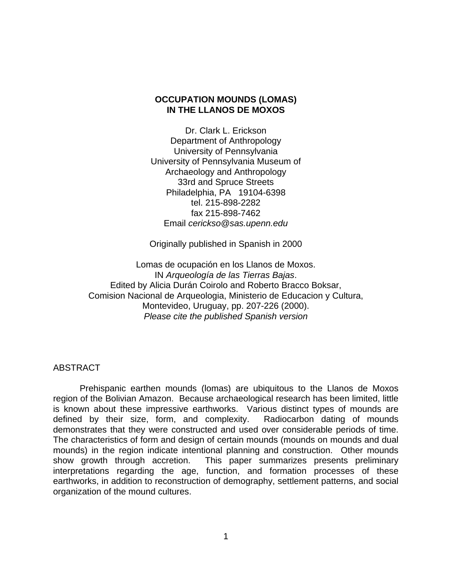# **OCCUPATION MOUNDS (LOMAS) IN THE LLANOS DE MOXOS**

Dr. Clark L. Erickson Department of Anthropology University of Pennsylvania University of Pennsylvania Museum of Archaeology and Anthropology 33rd and Spruce Streets Philadelphia, PA 19104-6398 tel. 215-898-2282 fax 215-898-7462 Email *cerickso@sas.upenn.edu*

Originally published in Spanish in 2000

Lomas de ocupación en los Llanos de Moxos. IN *Arqueología de las Tierras Bajas*. Edited by Alicia Durán Coirolo and Roberto Bracco Boksar, Comision Nacional de Arqueologia, Ministerio de Educacion y Cultura, Montevideo, Uruguay, pp. 207-226 (2000). *Please cite the published Spanish version* 

## ABSTRACT

 Prehispanic earthen mounds (lomas) are ubiquitous to the Llanos de Moxos region of the Bolivian Amazon. Because archaeological research has been limited, little is known about these impressive earthworks. Various distinct types of mounds are defined by their size, form, and complexity. Radiocarbon dating of mounds demonstrates that they were constructed and used over considerable periods of time. The characteristics of form and design of certain mounds (mounds on mounds and dual mounds) in the region indicate intentional planning and construction. Other mounds show growth through accretion. This paper summarizes presents preliminary interpretations regarding the age, function, and formation processes of these earthworks, in addition to reconstruction of demography, settlement patterns, and social organization of the mound cultures.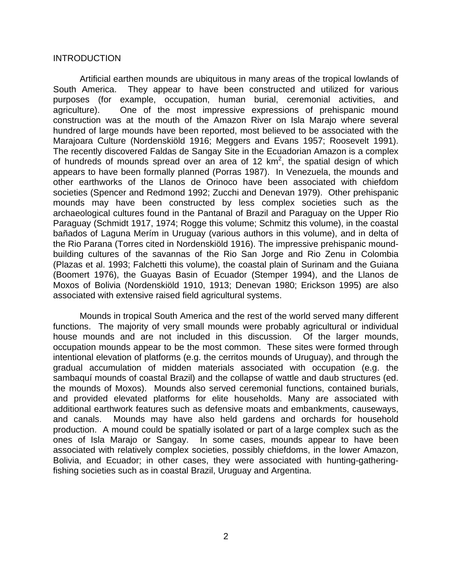## INTRODUCTION

 Artificial earthen mounds are ubiquitous in many areas of the tropical lowlands of South America. They appear to have been constructed and utilized for various purposes (for example, occupation, human burial, ceremonial activities, and agriculture). One of the most impressive expressions of prehispanic mound construction was at the mouth of the Amazon River on Isla Marajo where several hundred of large mounds have been reported, most believed to be associated with the Marajoara Culture (Nordenskiöld 1916; Meggers and Evans 1957; Roosevelt 1991). The recently discovered Faldas de Sangay Site in the Ecuadorian Amazon is a complex of hundreds of mounds spread over an area of 12  $km^2$ , the spatial design of which appears to have been formally planned (Porras 1987). In Venezuela, the mounds and other earthworks of the Llanos de Orinoco have been associated with chiefdom societies (Spencer and Redmond 1992; Zucchi and Denevan 1979). Other prehispanic mounds may have been constructed by less complex societies such as the archaeological cultures found in the Pantanal of Brazil and Paraguay on the Upper Rio Paraguay (Schmidt 1917, 1974; Rogge this volume; Schmitz this volume), in the coastal bañados of Laguna Merím in Uruguay (various authors in this volume), and in delta of the Rio Parana (Torres cited in Nordenskiöld 1916). The impressive prehispanic moundbuilding cultures of the savannas of the Rio San Jorge and Rio Zenu in Colombia (Plazas et al. 1993; Falchetti this volume), the coastal plain of Surinam and the Guiana (Boomert 1976), the Guayas Basin of Ecuador (Stemper 1994), and the Llanos de Moxos of Bolivia (Nordenskiöld 1910, 1913; Denevan 1980; Erickson 1995) are also associated with extensive raised field agricultural systems.

 Mounds in tropical South America and the rest of the world served many different functions. The majority of very small mounds were probably agricultural or individual house mounds and are not included in this discussion. Of the larger mounds, occupation mounds appear to be the most common. These sites were formed through intentional elevation of platforms (e.g. the cerritos mounds of Uruguay), and through the gradual accumulation of midden materials associated with occupation (e.g. the sambaquí mounds of coastal Brazil) and the collapse of wattle and daub structures (ed. the mounds of Moxos). Mounds also served ceremonial functions, contained burials, and provided elevated platforms for elite households. Many are associated with additional earthwork features such as defensive moats and embankments, causeways, and canals. Mounds may have also held gardens and orchards for household production. A mound could be spatially isolated or part of a large complex such as the ones of Isla Marajo or Sangay. In some cases, mounds appear to have been associated with relatively complex societies, possibly chiefdoms, in the lower Amazon, Bolivia, and Ecuador; in other cases, they were associated with hunting-gatheringfishing societies such as in coastal Brazil, Uruguay and Argentina.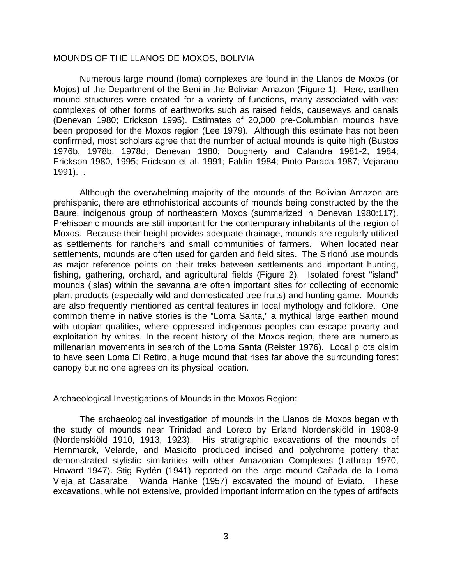## MOUNDS OF THE LLANOS DE MOXOS, BOLIVIA

 Numerous large mound (loma) complexes are found in the Llanos de Moxos (or Mojos) of the Department of the Beni in the Bolivian Amazon (Figure 1). Here, earthen mound structures were created for a variety of functions, many associated with vast complexes of other forms of earthworks such as raised fields, causeways and canals (Denevan 1980; Erickson 1995). Estimates of 20,000 pre-Columbian mounds have been proposed for the Moxos region (Lee 1979). Although this estimate has not been confirmed, most scholars agree that the number of actual mounds is quite high (Bustos 1976b, 1978b, 1978d; Denevan 1980; Dougherty and Calandra 1981-2, 1984; Erickson 1980, 1995; Erickson et al. 1991; Faldín 1984; Pinto Parada 1987; Vejarano 1991). .

 Although the overwhelming majority of the mounds of the Bolivian Amazon are prehispanic, there are ethnohistorical accounts of mounds being constructed by the the Baure, indigenous group of northeastern Moxos (summarized in Denevan 1980:117). Prehispanic mounds are still important for the contemporary inhabitants of the region of Moxos. Because their height provides adequate drainage, mounds are regularly utilized as settlements for ranchers and small communities of farmers. When located near settlements, mounds are often used for garden and field sites. The Sirionó use mounds as major reference points on their treks between settlements and important hunting, fishing, gathering, orchard, and agricultural fields (Figure 2). Isolated forest "island" mounds (islas) within the savanna are often important sites for collecting of economic plant products (especially wild and domesticated tree fruits) and hunting game. Mounds are also frequently mentioned as central features in local mythology and folklore. One common theme in native stories is the "Loma Santa," a mythical large earthen mound with utopian qualities, where oppressed indigenous peoples can escape poverty and exploitation by whites. In the recent history of the Moxos region, there are numerous millenarian movements in search of the Loma Santa (Reister 1976). Local pilots claim to have seen Loma El Retiro, a huge mound that rises far above the surrounding forest canopy but no one agrees on its physical location.

## Archaeological Investigations of Mounds in the Moxos Region:

 The archaeological investigation of mounds in the Llanos de Moxos began with the study of mounds near Trinidad and Loreto by Erland Nordenskiöld in 1908-9 (Nordenskiöld 1910, 1913, 1923). His stratigraphic excavations of the mounds of Hernmarck, Velarde, and Masicito produced incised and polychrome pottery that demonstrated stylistic similarities with other Amazonian Complexes (Lathrap 1970, Howard 1947). Stig Rydén (1941) reported on the large mound Cañada de la Loma Vieja at Casarabe. Wanda Hanke (1957) excavated the mound of Eviato. These excavations, while not extensive, provided important information on the types of artifacts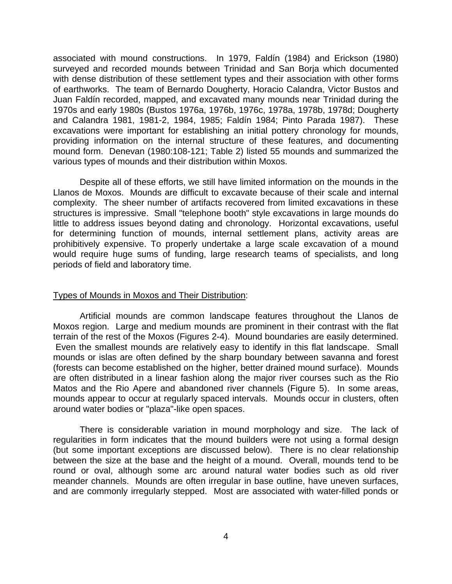associated with mound constructions. In 1979, Faldín (1984) and Erickson (1980) surveyed and recorded mounds between Trinidad and San Borja which documented with dense distribution of these settlement types and their association with other forms of earthworks. The team of Bernardo Dougherty, Horacio Calandra, Victor Bustos and Juan Faldín recorded, mapped, and excavated many mounds near Trinidad during the 1970s and early 1980s (Bustos 1976a, 1976b, 1976c, 1978a, 1978b, 1978d; Dougherty and Calandra 1981, 1981-2, 1984, 1985; Faldín 1984; Pinto Parada 1987). These excavations were important for establishing an initial pottery chronology for mounds, providing information on the internal structure of these features, and documenting mound form. Denevan (1980:108-121; Table 2) listed 55 mounds and summarized the various types of mounds and their distribution within Moxos.

 Despite all of these efforts, we still have limited information on the mounds in the Llanos de Moxos. Mounds are difficult to excavate because of their scale and internal complexity. The sheer number of artifacts recovered from limited excavations in these structures is impressive. Small "telephone booth" style excavations in large mounds do little to address issues beyond dating and chronology. Horizontal excavations, useful for determining function of mounds, internal settlement plans, activity areas are prohibitively expensive. To properly undertake a large scale excavation of a mound would require huge sums of funding, large research teams of specialists, and long periods of field and laboratory time.

## Types of Mounds in Moxos and Their Distribution:

 Artificial mounds are common landscape features throughout the Llanos de Moxos region. Large and medium mounds are prominent in their contrast with the flat terrain of the rest of the Moxos (Figures 2-4). Mound boundaries are easily determined. Even the smallest mounds are relatively easy to identify in this flat landscape. Small mounds or islas are often defined by the sharp boundary between savanna and forest (forests can become established on the higher, better drained mound surface). Mounds are often distributed in a linear fashion along the major river courses such as the Rio Matos and the Rio Apere and abandoned river channels (Figure 5). In some areas, mounds appear to occur at regularly spaced intervals. Mounds occur in clusters, often around water bodies or "plaza"-like open spaces.

 There is considerable variation in mound morphology and size. The lack of regularities in form indicates that the mound builders were not using a formal design (but some important exceptions are discussed below). There is no clear relationship between the size at the base and the height of a mound. Overall, mounds tend to be round or oval, although some arc around natural water bodies such as old river meander channels. Mounds are often irregular in base outline, have uneven surfaces, and are commonly irregularly stepped. Most are associated with water-filled ponds or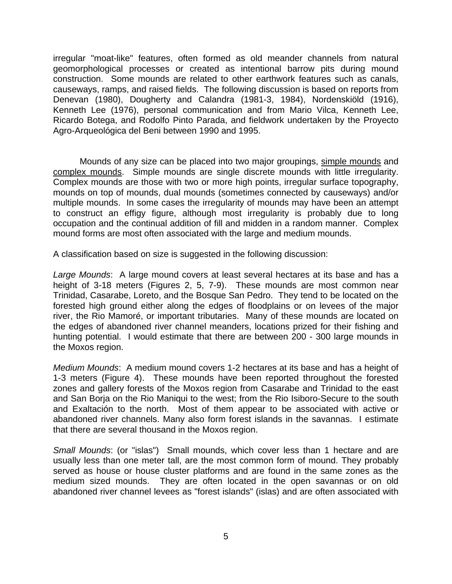irregular "moat-like" features, often formed as old meander channels from natural geomorphological processes or created as intentional barrow pits during mound construction. Some mounds are related to other earthwork features such as canals, causeways, ramps, and raised fields. The following discussion is based on reports from Denevan (1980), Dougherty and Calandra (1981-3, 1984), Nordenskiöld (1916), Kenneth Lee (1976), personal communication and from Mario Vilca, Kenneth Lee, Ricardo Botega, and Rodolfo Pinto Parada, and fieldwork undertaken by the Proyecto Agro-Arqueológica del Beni between 1990 and 1995.

 Mounds of any size can be placed into two major groupings, simple mounds and complex mounds. Simple mounds are single discrete mounds with little irregularity. Complex mounds are those with two or more high points, irregular surface topography, mounds on top of mounds, dual mounds (sometimes connected by causeways) and/or multiple mounds. In some cases the irregularity of mounds may have been an attempt to construct an effigy figure, although most irregularity is probably due to long occupation and the continual addition of fill and midden in a random manner. Complex mound forms are most often associated with the large and medium mounds.

A classification based on size is suggested in the following discussion:

*Large Mounds*: A large mound covers at least several hectares at its base and has a height of 3-18 meters (Figures 2, 5, 7-9). These mounds are most common near Trinidad, Casarabe, Loreto, and the Bosque San Pedro. They tend to be located on the forested high ground either along the edges of floodplains or on levees of the major river, the Rio Mamoré, or important tributaries. Many of these mounds are located on the edges of abandoned river channel meanders, locations prized for their fishing and hunting potential. I would estimate that there are between 200 - 300 large mounds in the Moxos region.

*Medium Mounds*: A medium mound covers 1-2 hectares at its base and has a height of 1-3 meters (Figure 4). These mounds have been reported throughout the forested zones and gallery forests of the Moxos region from Casarabe and Trinidad to the east and San Borja on the Rio Maniqui to the west; from the Rio Isiboro-Secure to the south and Exaltación to the north. Most of them appear to be associated with active or abandoned river channels. Many also form forest islands in the savannas. I estimate that there are several thousand in the Moxos region.

*Small Mounds*: (or "islas") Small mounds, which cover less than 1 hectare and are usually less than one meter tall, are the most common form of mound. They probably served as house or house cluster platforms and are found in the same zones as the medium sized mounds. They are often located in the open savannas or on old abandoned river channel levees as "forest islands" (islas) and are often associated with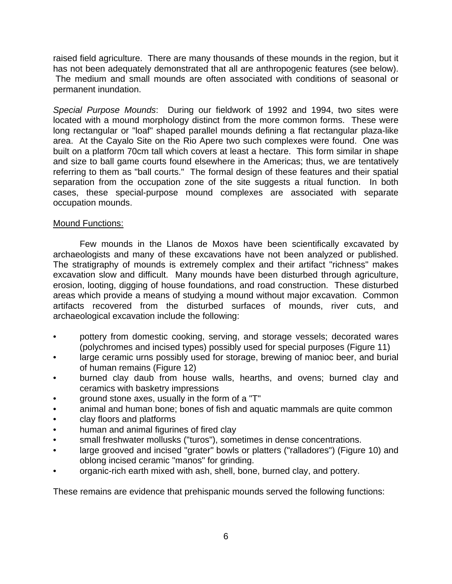raised field agriculture. There are many thousands of these mounds in the region, but it has not been adequately demonstrated that all are anthropogenic features (see below). The medium and small mounds are often associated with conditions of seasonal or permanent inundation.

*Special Purpose Mounds*: During our fieldwork of 1992 and 1994, two sites were located with a mound morphology distinct from the more common forms. These were long rectangular or "loaf" shaped parallel mounds defining a flat rectangular plaza-like area. At the Cayalo Site on the Rio Apere two such complexes were found. One was built on a platform 70cm tall which covers at least a hectare. This form similar in shape and size to ball game courts found elsewhere in the Americas; thus, we are tentatively referring to them as "ball courts." The formal design of these features and their spatial separation from the occupation zone of the site suggests a ritual function. In both cases, these special-purpose mound complexes are associated with separate occupation mounds.

# Mound Functions:

 Few mounds in the Llanos de Moxos have been scientifically excavated by archaeologists and many of these excavations have not been analyzed or published. The stratigraphy of mounds is extremely complex and their artifact "richness" makes excavation slow and difficult. Many mounds have been disturbed through agriculture, erosion, looting, digging of house foundations, and road construction. These disturbed areas which provide a means of studying a mound without major excavation. Common artifacts recovered from the disturbed surfaces of mounds, river cuts, and archaeological excavation include the following:

- pottery from domestic cooking, serving, and storage vessels; decorated wares (polychromes and incised types) possibly used for special purposes (Figure 11)
- large ceramic urns possibly used for storage, brewing of manioc beer, and burial of human remains (Figure 12)
- burned clay daub from house walls, hearths, and ovens; burned clay and ceramics with basketry impressions
- ground stone axes, usually in the form of a "T"
- animal and human bone; bones of fish and aquatic mammals are quite common
- clay floors and platforms
- human and animal figurines of fired clay
- small freshwater mollusks ("turos"), sometimes in dense concentrations.
- large grooved and incised "grater" bowls or platters ("ralladores") (Figure 10) and oblong incised ceramic "manos" for grinding.
- organic-rich earth mixed with ash, shell, bone, burned clay, and pottery.

These remains are evidence that prehispanic mounds served the following functions: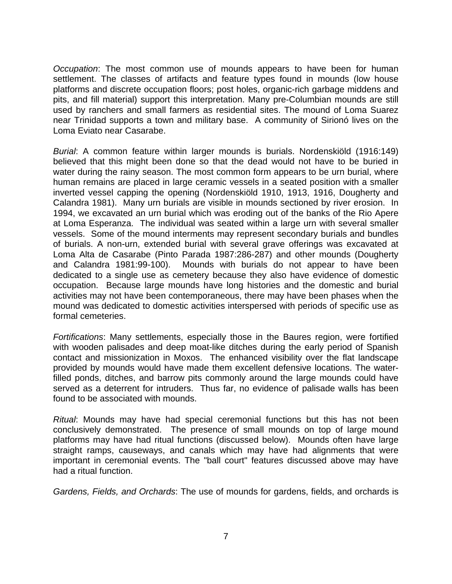*Occupation*: The most common use of mounds appears to have been for human settlement. The classes of artifacts and feature types found in mounds (low house platforms and discrete occupation floors; post holes, organic-rich garbage middens and pits, and fill material) support this interpretation. Many pre-Columbian mounds are still used by ranchers and small farmers as residential sites. The mound of Loma Suarez near Trinidad supports a town and military base. A community of Sirionó lives on the Loma Eviato near Casarabe.

*Burial*: A common feature within larger mounds is burials. Nordenskiöld (1916:149) believed that this might been done so that the dead would not have to be buried in water during the rainy season. The most common form appears to be urn burial, where human remains are placed in large ceramic vessels in a seated position with a smaller inverted vessel capping the opening (Nordenskiöld 1910, 1913, 1916, Dougherty and Calandra 1981). Many urn burials are visible in mounds sectioned by river erosion. In 1994, we excavated an urn burial which was eroding out of the banks of the Rio Apere at Loma Esperanza. The individual was seated within a large urn with several smaller vessels. Some of the mound interments may represent secondary burials and bundles of burials. A non-urn, extended burial with several grave offerings was excavated at Loma Alta de Casarabe (Pinto Parada 1987:286-287) and other mounds (Dougherty and Calandra 1981:99-100). Mounds with burials do not appear to have been dedicated to a single use as cemetery because they also have evidence of domestic occupation. Because large mounds have long histories and the domestic and burial activities may not have been contemporaneous, there may have been phases when the mound was dedicated to domestic activities interspersed with periods of specific use as formal cemeteries.

*Fortifications*: Many settlements, especially those in the Baures region, were fortified with wooden palisades and deep moat-like ditches during the early period of Spanish contact and missionization in Moxos. The enhanced visibility over the flat landscape provided by mounds would have made them excellent defensive locations. The waterfilled ponds, ditches, and barrow pits commonly around the large mounds could have served as a deterrent for intruders. Thus far, no evidence of palisade walls has been found to be associated with mounds.

*Ritual*: Mounds may have had special ceremonial functions but this has not been conclusively demonstrated. The presence of small mounds on top of large mound platforms may have had ritual functions (discussed below). Mounds often have large straight ramps, causeways, and canals which may have had alignments that were important in ceremonial events. The "ball court" features discussed above may have had a ritual function.

*Gardens, Fields, and Orchards*: The use of mounds for gardens, fields, and orchards is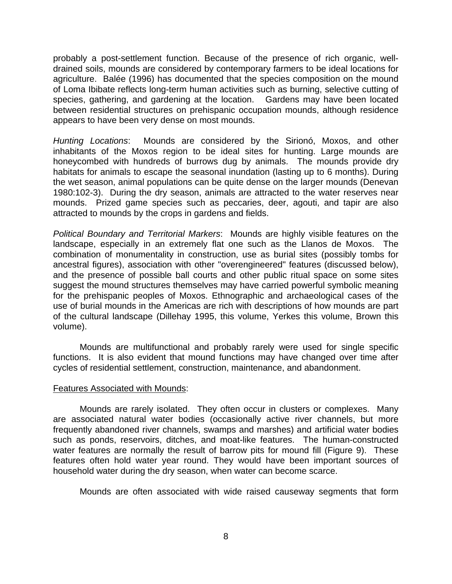probably a post-settlement function. Because of the presence of rich organic, welldrained soils, mounds are considered by contemporary farmers to be ideal locations for agriculture. Balée (1996) has documented that the species composition on the mound of Loma Ibibate reflects long-term human activities such as burning, selective cutting of species, gathering, and gardening at the location. Gardens may have been located between residential structures on prehispanic occupation mounds, although residence appears to have been very dense on most mounds.

*Hunting Locations*: Mounds are considered by the Sirionó, Moxos, and other inhabitants of the Moxos region to be ideal sites for hunting. Large mounds are honeycombed with hundreds of burrows dug by animals. The mounds provide dry habitats for animals to escape the seasonal inundation (lasting up to 6 months). During the wet season, animal populations can be quite dense on the larger mounds (Denevan 1980:102-3). During the dry season, animals are attracted to the water reserves near mounds. Prized game species such as peccaries, deer, agouti, and tapir are also attracted to mounds by the crops in gardens and fields.

*Political Boundary and Territorial Markers*: Mounds are highly visible features on the landscape, especially in an extremely flat one such as the Llanos de Moxos. The combination of monumentality in construction, use as burial sites (possibly tombs for ancestral figures), association with other "overengineered" features (discussed below), and the presence of possible ball courts and other public ritual space on some sites suggest the mound structures themselves may have carried powerful symbolic meaning for the prehispanic peoples of Moxos. Ethnographic and archaeological cases of the use of burial mounds in the Americas are rich with descriptions of how mounds are part of the cultural landscape (Dillehay 1995, this volume, Yerkes this volume, Brown this volume).

 Mounds are multifunctional and probably rarely were used for single specific functions. It is also evident that mound functions may have changed over time after cycles of residential settlement, construction, maintenance, and abandonment.

## Features Associated with Mounds:

 Mounds are rarely isolated. They often occur in clusters or complexes. Many are associated natural water bodies (occasionally active river channels, but more frequently abandoned river channels, swamps and marshes) and artificial water bodies such as ponds, reservoirs, ditches, and moat-like features. The human-constructed water features are normally the result of barrow pits for mound fill (Figure 9). These features often hold water year round. They would have been important sources of household water during the dry season, when water can become scarce.

Mounds are often associated with wide raised causeway segments that form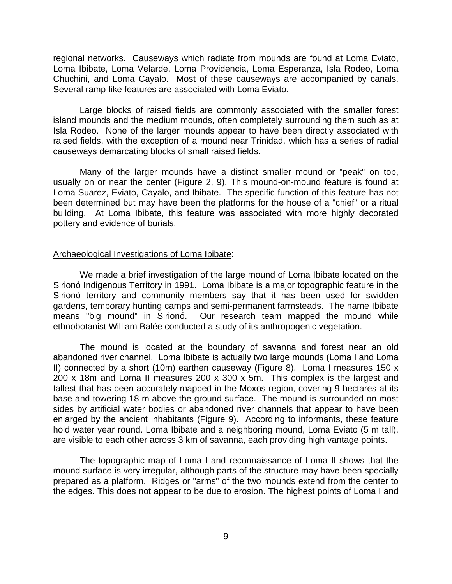regional networks. Causeways which radiate from mounds are found at Loma Eviato, Loma Ibibate, Loma Velarde, Loma Providencia, Loma Esperanza, Isla Rodeo, Loma Chuchini, and Loma Cayalo. Most of these causeways are accompanied by canals. Several ramp-like features are associated with Loma Eviato.

 Large blocks of raised fields are commonly associated with the smaller forest island mounds and the medium mounds, often completely surrounding them such as at Isla Rodeo. None of the larger mounds appear to have been directly associated with raised fields, with the exception of a mound near Trinidad, which has a series of radial causeways demarcating blocks of small raised fields.

 Many of the larger mounds have a distinct smaller mound or "peak" on top, usually on or near the center (Figure 2, 9). This mound-on-mound feature is found at Loma Suarez, Eviato, Cayalo, and Ibibate. The specific function of this feature has not been determined but may have been the platforms for the house of a "chief" or a ritual building. At Loma Ibibate, this feature was associated with more highly decorated pottery and evidence of burials.

#### Archaeological Investigations of Loma Ibibate:

 We made a brief investigation of the large mound of Loma Ibibate located on the Sirionó Indigenous Territory in 1991. Loma Ibibate is a major topographic feature in the Sirionó territory and community members say that it has been used for swidden gardens, temporary hunting camps and semi-permanent farmsteads. The name Ibibate means "big mound" in Sirionó. Our research team mapped the mound while ethnobotanist William Balée conducted a study of its anthropogenic vegetation.

 The mound is located at the boundary of savanna and forest near an old abandoned river channel. Loma Ibibate is actually two large mounds (Loma I and Loma II) connected by a short (10m) earthen causeway (Figure 8). Loma I measures 150 x 200 x 18m and Loma II measures 200 x 300 x 5m. This complex is the largest and tallest that has been accurately mapped in the Moxos region, covering 9 hectares at its base and towering 18 m above the ground surface. The mound is surrounded on most sides by artificial water bodies or abandoned river channels that appear to have been enlarged by the ancient inhabitants (Figure 9). According to informants, these feature hold water year round. Loma Ibibate and a neighboring mound, Loma Eviato (5 m tall), are visible to each other across 3 km of savanna, each providing high vantage points.

 The topographic map of Loma I and reconnaissance of Loma II shows that the mound surface is very irregular, although parts of the structure may have been specially prepared as a platform. Ridges or "arms" of the two mounds extend from the center to the edges. This does not appear to be due to erosion. The highest points of Loma I and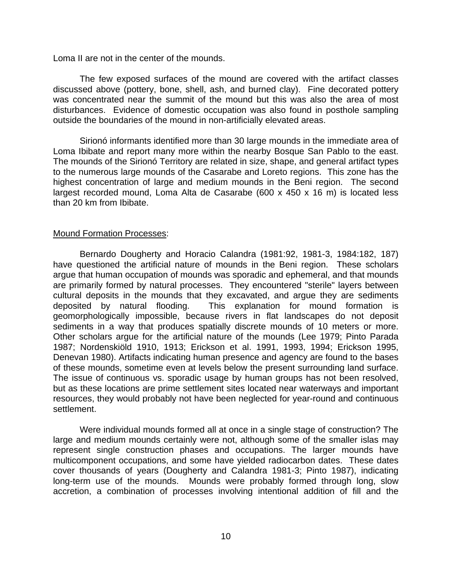Loma II are not in the center of the mounds.

 The few exposed surfaces of the mound are covered with the artifact classes discussed above (pottery, bone, shell, ash, and burned clay). Fine decorated pottery was concentrated near the summit of the mound but this was also the area of most disturbances. Evidence of domestic occupation was also found in posthole sampling outside the boundaries of the mound in non-artificially elevated areas.

 Sirionó informants identified more than 30 large mounds in the immediate area of Loma Ibibate and report many more within the nearby Bosque San Pablo to the east. The mounds of the Sirionó Territory are related in size, shape, and general artifact types to the numerous large mounds of the Casarabe and Loreto regions. This zone has the highest concentration of large and medium mounds in the Beni region. The second largest recorded mound, Loma Alta de Casarabe (600 x 450 x 16 m) is located less than 20 km from Ibibate.

# Mound Formation Processes:

 Bernardo Dougherty and Horacio Calandra (1981:92, 1981-3, 1984:182, 187) have questioned the artificial nature of mounds in the Beni region. These scholars argue that human occupation of mounds was sporadic and ephemeral, and that mounds are primarily formed by natural processes. They encountered "sterile" layers between cultural deposits in the mounds that they excavated, and argue they are sediments deposited by natural flooding. This explanation for mound formation is geomorphologically impossible, because rivers in flat landscapes do not deposit sediments in a way that produces spatially discrete mounds of 10 meters or more. Other scholars argue for the artificial nature of the mounds (Lee 1979; Pinto Parada 1987; Nordenskiöld 1910, 1913; Erickson et al. 1991, 1993, 1994; Erickson 1995, Denevan 1980). Artifacts indicating human presence and agency are found to the bases of these mounds, sometime even at levels below the present surrounding land surface. The issue of continuous vs. sporadic usage by human groups has not been resolved, but as these locations are prime settlement sites located near waterways and important resources, they would probably not have been neglected for year-round and continuous settlement.

 Were individual mounds formed all at once in a single stage of construction? The large and medium mounds certainly were not, although some of the smaller islas may represent single construction phases and occupations. The larger mounds have multicomponent occupations, and some have yielded radiocarbon dates. These dates cover thousands of years (Dougherty and Calandra 1981-3; Pinto 1987), indicating long-term use of the mounds. Mounds were probably formed through long, slow accretion, a combination of processes involving intentional addition of fill and the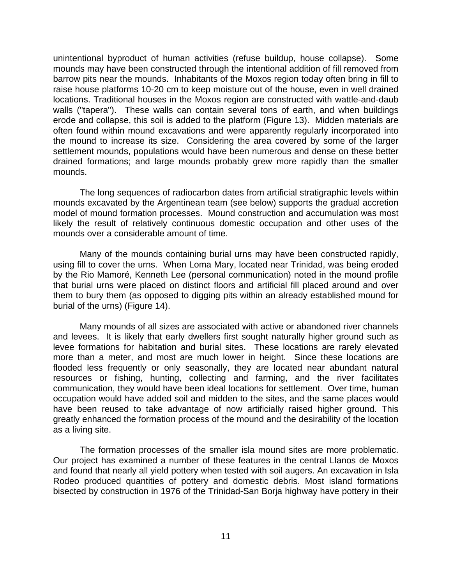unintentional byproduct of human activities (refuse buildup, house collapse). Some mounds may have been constructed through the intentional addition of fill removed from barrow pits near the mounds. Inhabitants of the Moxos region today often bring in fill to raise house platforms 10-20 cm to keep moisture out of the house, even in well drained locations. Traditional houses in the Moxos region are constructed with wattle-and-daub walls ("tapera"). These walls can contain several tons of earth, and when buildings erode and collapse, this soil is added to the platform (Figure 13). Midden materials are often found within mound excavations and were apparently regularly incorporated into the mound to increase its size. Considering the area covered by some of the larger settlement mounds, populations would have been numerous and dense on these better drained formations; and large mounds probably grew more rapidly than the smaller mounds.

 The long sequences of radiocarbon dates from artificial stratigraphic levels within mounds excavated by the Argentinean team (see below) supports the gradual accretion model of mound formation processes. Mound construction and accumulation was most likely the result of relatively continuous domestic occupation and other uses of the mounds over a considerable amount of time.

 Many of the mounds containing burial urns may have been constructed rapidly, using fill to cover the urns. When Loma Mary, located near Trinidad, was being eroded by the Rio Mamoré, Kenneth Lee (personal communication) noted in the mound profile that burial urns were placed on distinct floors and artificial fill placed around and over them to bury them (as opposed to digging pits within an already established mound for burial of the urns) (Figure 14).

 Many mounds of all sizes are associated with active or abandoned river channels and levees. It is likely that early dwellers first sought naturally higher ground such as levee formations for habitation and burial sites. These locations are rarely elevated more than a meter, and most are much lower in height. Since these locations are flooded less frequently or only seasonally, they are located near abundant natural resources or fishing, hunting, collecting and farming, and the river facilitates communication, they would have been ideal locations for settlement. Over time, human occupation would have added soil and midden to the sites, and the same places would have been reused to take advantage of now artificially raised higher ground. This greatly enhanced the formation process of the mound and the desirability of the location as a living site.

 The formation processes of the smaller isla mound sites are more problematic. Our project has examined a number of these features in the central Llanos de Moxos and found that nearly all yield pottery when tested with soil augers. An excavation in Isla Rodeo produced quantities of pottery and domestic debris. Most island formations bisected by construction in 1976 of the Trinidad-San Borja highway have pottery in their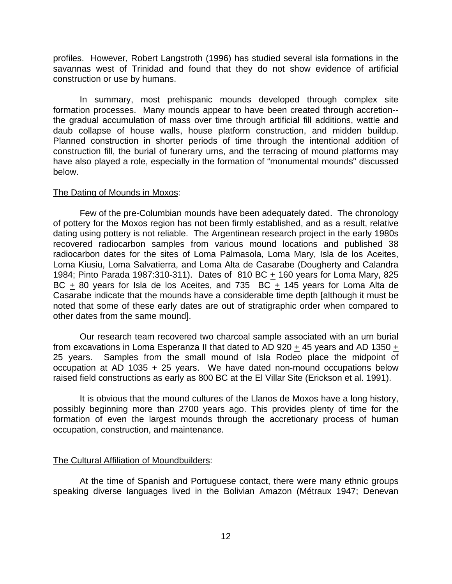profiles. However, Robert Langstroth (1996) has studied several isla formations in the savannas west of Trinidad and found that they do not show evidence of artificial construction or use by humans.

 In summary, most prehispanic mounds developed through complex site formation processes. Many mounds appear to have been created through accretion- the gradual accumulation of mass over time through artificial fill additions, wattle and daub collapse of house walls, house platform construction, and midden buildup. Planned construction in shorter periods of time through the intentional addition of construction fill, the burial of funerary urns, and the terracing of mound platforms may have also played a role, especially in the formation of "monumental mounds" discussed below.

#### The Dating of Mounds in Moxos:

 Few of the pre-Columbian mounds have been adequately dated. The chronology of pottery for the Moxos region has not been firmly established, and as a result, relative dating using pottery is not reliable. The Argentinean research project in the early 1980s recovered radiocarbon samples from various mound locations and published 38 radiocarbon dates for the sites of Loma Palmasola, Loma Mary, Isla de los Aceites, Loma Kiusiu, Loma Salvatierra, and Loma Alta de Casarabe (Dougherty and Calandra 1984; Pinto Parada 1987:310-311). Dates of 810 BC  $\pm$  160 years for Loma Mary, 825 BC + 80 years for Isla de los Aceites, and  $735$  BC + 145 years for Loma Alta de Casarabe indicate that the mounds have a considerable time depth [although it must be noted that some of these early dates are out of stratigraphic order when compared to other dates from the same mound].

 Our research team recovered two charcoal sample associated with an urn burial from excavations in Loma Esperanza II that dated to AD 920 + 45 years and AD 1350 + 25 years. Samples from the small mound of Isla Rodeo place the midpoint of occupation at AD 1035 + 25 years. We have dated non-mound occupations below raised field constructions as early as 800 BC at the El Villar Site (Erickson et al. 1991).

 It is obvious that the mound cultures of the Llanos de Moxos have a long history, possibly beginning more than 2700 years ago. This provides plenty of time for the formation of even the largest mounds through the accretionary process of human occupation, construction, and maintenance.

## The Cultural Affiliation of Moundbuilders:

 At the time of Spanish and Portuguese contact, there were many ethnic groups speaking diverse languages lived in the Bolivian Amazon (Métraux 1947; Denevan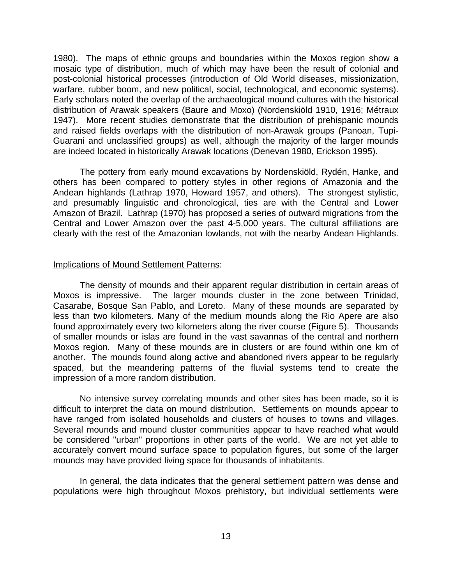1980). The maps of ethnic groups and boundaries within the Moxos region show a mosaic type of distribution, much of which may have been the result of colonial and post-colonial historical processes (introduction of Old World diseases, missionization, warfare, rubber boom, and new political, social, technological, and economic systems). Early scholars noted the overlap of the archaeological mound cultures with the historical distribution of Arawak speakers (Baure and Moxo) (Nordenskiöld 1910, 1916; Métraux 1947). More recent studies demonstrate that the distribution of prehispanic mounds and raised fields overlaps with the distribution of non-Arawak groups (Panoan, Tupi-Guarani and unclassified groups) as well, although the majority of the larger mounds are indeed located in historically Arawak locations (Denevan 1980, Erickson 1995).

 The pottery from early mound excavations by Nordenskiöld, Rydén, Hanke, and others has been compared to pottery styles in other regions of Amazonia and the Andean highlands (Lathrap 1970, Howard 1957, and others). The strongest stylistic, and presumably linguistic and chronological, ties are with the Central and Lower Amazon of Brazil. Lathrap (1970) has proposed a series of outward migrations from the Central and Lower Amazon over the past 4-5,000 years. The cultural affiliations are clearly with the rest of the Amazonian lowlands, not with the nearby Andean Highlands.

# Implications of Mound Settlement Patterns:

 The density of mounds and their apparent regular distribution in certain areas of Moxos is impressive. The larger mounds cluster in the zone between Trinidad, Casarabe, Bosque San Pablo, and Loreto. Many of these mounds are separated by less than two kilometers. Many of the medium mounds along the Rio Apere are also found approximately every two kilometers along the river course (Figure 5). Thousands of smaller mounds or islas are found in the vast savannas of the central and northern Moxos region. Many of these mounds are in clusters or are found within one km of another. The mounds found along active and abandoned rivers appear to be regularly spaced, but the meandering patterns of the fluvial systems tend to create the impression of a more random distribution.

 No intensive survey correlating mounds and other sites has been made, so it is difficult to interpret the data on mound distribution. Settlements on mounds appear to have ranged from isolated households and clusters of houses to towns and villages. Several mounds and mound cluster communities appear to have reached what would be considered "urban" proportions in other parts of the world. We are not yet able to accurately convert mound surface space to population figures, but some of the larger mounds may have provided living space for thousands of inhabitants.

 In general, the data indicates that the general settlement pattern was dense and populations were high throughout Moxos prehistory, but individual settlements were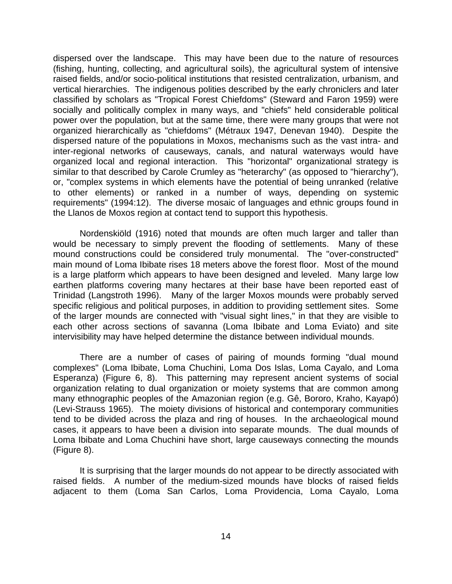dispersed over the landscape. This may have been due to the nature of resources (fishing, hunting, collecting, and agricultural soils), the agricultural system of intensive raised fields, and/or socio-political institutions that resisted centralization, urbanism, and vertical hierarchies. The indigenous polities described by the early chroniclers and later classified by scholars as "Tropical Forest Chiefdoms" (Steward and Faron 1959) were socially and politically complex in many ways, and "chiefs" held considerable political power over the population, but at the same time, there were many groups that were not organized hierarchically as "chiefdoms" (Métraux 1947, Denevan 1940). Despite the dispersed nature of the populations in Moxos, mechanisms such as the vast intra- and inter-regional networks of causeways, canals, and natural waterways would have organized local and regional interaction. This "horizontal" organizational strategy is similar to that described by Carole Crumley as "heterarchy" (as opposed to "hierarchy"), or, "complex systems in which elements have the potential of being unranked (relative to other elements) or ranked in a number of ways, depending on systemic requirements" (1994:12). The diverse mosaic of languages and ethnic groups found in the Llanos de Moxos region at contact tend to support this hypothesis.

 Nordenskiöld (1916) noted that mounds are often much larger and taller than would be necessary to simply prevent the flooding of settlements. Many of these mound constructions could be considered truly monumental. The "over-constructed" main mound of Loma Ibibate rises 18 meters above the forest floor. Most of the mound is a large platform which appears to have been designed and leveled. Many large low earthen platforms covering many hectares at their base have been reported east of Trinidad (Langstroth 1996). Many of the larger Moxos mounds were probably served specific religious and political purposes, in addition to providing settlement sites. Some of the larger mounds are connected with "visual sight lines," in that they are visible to each other across sections of savanna (Loma Ibibate and Loma Eviato) and site intervisibility may have helped determine the distance between individual mounds.

 There are a number of cases of pairing of mounds forming "dual mound complexes" (Loma Ibibate, Loma Chuchini, Loma Dos Islas, Loma Cayalo, and Loma Esperanza) (Figure 6, 8). This patterning may represent ancient systems of social organization relating to dual organization or moiety systems that are common among many ethnographic peoples of the Amazonian region (e.g. Gê, Bororo, Kraho, Kayapó) (Levi-Strauss 1965). The moiety divisions of historical and contemporary communities tend to be divided across the plaza and ring of houses. In the archaeological mound cases, it appears to have been a division into separate mounds. The dual mounds of Loma Ibibate and Loma Chuchini have short, large causeways connecting the mounds (Figure 8).

 It is surprising that the larger mounds do not appear to be directly associated with raised fields. A number of the medium-sized mounds have blocks of raised fields adjacent to them (Loma San Carlos, Loma Providencia, Loma Cayalo, Loma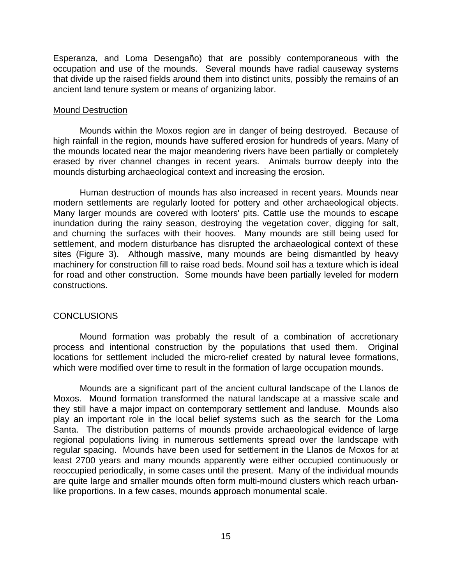Esperanza, and Loma Desengaño) that are possibly contemporaneous with the occupation and use of the mounds. Several mounds have radial causeway systems that divide up the raised fields around them into distinct units, possibly the remains of an ancient land tenure system or means of organizing labor.

# Mound Destruction

 Mounds within the Moxos region are in danger of being destroyed. Because of high rainfall in the region, mounds have suffered erosion for hundreds of years. Many of the mounds located near the major meandering rivers have been partially or completely erased by river channel changes in recent years. Animals burrow deeply into the mounds disturbing archaeological context and increasing the erosion.

 Human destruction of mounds has also increased in recent years. Mounds near modern settlements are regularly looted for pottery and other archaeological objects. Many larger mounds are covered with looters' pits. Cattle use the mounds to escape inundation during the rainy season, destroying the vegetation cover, digging for salt, and churning the surfaces with their hooves. Many mounds are still being used for settlement, and modern disturbance has disrupted the archaeological context of these sites (Figure 3). Although massive, many mounds are being dismantled by heavy machinery for construction fill to raise road beds. Mound soil has a texture which is ideal for road and other construction. Some mounds have been partially leveled for modern constructions.

# **CONCLUSIONS**

 Mound formation was probably the result of a combination of accretionary process and intentional construction by the populations that used them. Original locations for settlement included the micro-relief created by natural levee formations, which were modified over time to result in the formation of large occupation mounds.

 Mounds are a significant part of the ancient cultural landscape of the Llanos de Moxos. Mound formation transformed the natural landscape at a massive scale and they still have a major impact on contemporary settlement and landuse. Mounds also play an important role in the local belief systems such as the search for the Loma Santa. The distribution patterns of mounds provide archaeological evidence of large regional populations living in numerous settlements spread over the landscape with regular spacing. Mounds have been used for settlement in the Llanos de Moxos for at least 2700 years and many mounds apparently were either occupied continuously or reoccupied periodically, in some cases until the present. Many of the individual mounds are quite large and smaller mounds often form multi-mound clusters which reach urbanlike proportions. In a few cases, mounds approach monumental scale.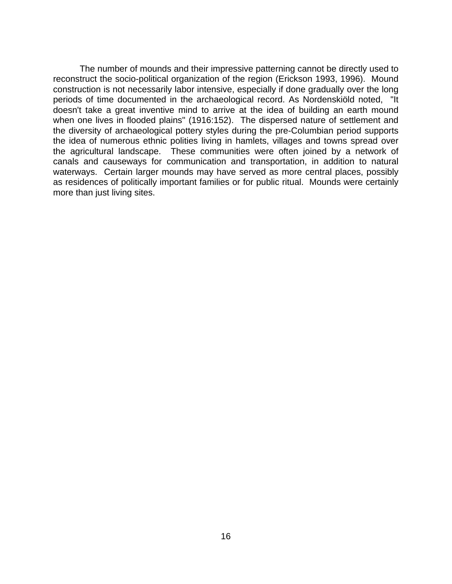The number of mounds and their impressive patterning cannot be directly used to reconstruct the socio-political organization of the region (Erickson 1993, 1996). Mound construction is not necessarily labor intensive, especially if done gradually over the long periods of time documented in the archaeological record. As Nordenskiöld noted, "It doesn't take a great inventive mind to arrive at the idea of building an earth mound when one lives in flooded plains" (1916:152). The dispersed nature of settlement and the diversity of archaeological pottery styles during the pre-Columbian period supports the idea of numerous ethnic polities living in hamlets, villages and towns spread over the agricultural landscape. These communities were often joined by a network of canals and causeways for communication and transportation, in addition to natural waterways. Certain larger mounds may have served as more central places, possibly as residences of politically important families or for public ritual. Mounds were certainly more than just living sites.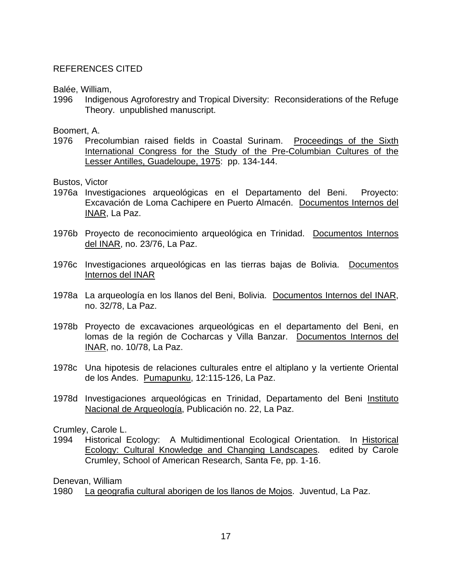# REFERENCES CITED

Balée, William,

1996 Indigenous Agroforestry and Tropical Diversity: Reconsiderations of the Refuge Theory. unpublished manuscript.

Boomert, A.

1976 Precolumbian raised fields in Coastal Surinam. Proceedings of the Sixth International Congress for the Study of the Pre-Columbian Cultures of the Lesser Antilles, Guadeloupe, 1975: pp. 134-144.

Bustos, Victor

- 1976a Investigaciones arqueológicas en el Departamento del Beni. Proyecto: Excavación de Loma Cachipere en Puerto Almacén. Documentos Internos del INAR, La Paz.
- 1976b Proyecto de reconocimiento arqueológica en Trinidad. Documentos Internos del INAR, no. 23/76, La Paz.
- 1976c Investigaciones arqueológicas en las tierras bajas de Bolivia. Documentos Internos del INAR
- 1978a La arqueología en los llanos del Beni, Bolivia. Documentos Internos del INAR, no. 32/78, La Paz.
- 1978b Proyecto de excavaciones arqueológicas en el departamento del Beni, en lomas de la región de Cocharcas y Villa Banzar. Documentos Internos del INAR, no. 10/78, La Paz.
- 1978c Una hipotesis de relaciones culturales entre el altiplano y la vertiente Oriental de los Andes. Pumapunku, 12:115-126, La Paz.
- 1978d Investigaciones arqueológicas en Trinidad, Departamento del Beni Instituto Nacional de Arqueología, Publicación no. 22, La Paz.

Crumley, Carole L.

1994 Historical Ecology: A Multidimentional Ecological Orientation. In Historical Ecology: Cultural Knowledge and Changing Landscapes. edited by Carole Crumley, School of American Research, Santa Fe, pp. 1-16.

Denevan, William

1980 La geografia cultural aborigen de los llanos de Mojos. Juventud, La Paz.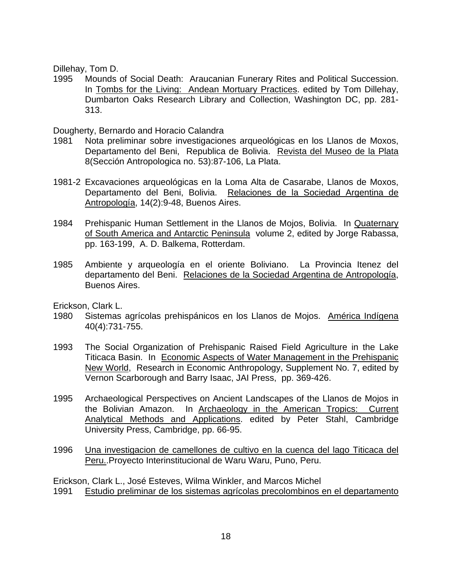Dillehay, Tom D.

1995 Mounds of Social Death: Araucanian Funerary Rites and Political Succession. In Tombs for the Living: Andean Mortuary Practices. edited by Tom Dillehay, Dumbarton Oaks Research Library and Collection, Washington DC, pp. 281- 313.

Dougherty, Bernardo and Horacio Calandra

- 1981 Nota preliminar sobre investigaciones arqueológicas en los Llanos de Moxos, Departamento del Beni, Republica de Bolivia. Revista del Museo de la Plata 8(Sección Antropologica no. 53):87-106, La Plata.
- 1981-2 Excavaciones arqueológicas en la Loma Alta de Casarabe, Llanos de Moxos, Departamento del Beni, Bolivia. Relaciones de la Sociedad Argentina de Antropología, 14(2):9-48, Buenos Aires.
- 1984 Prehispanic Human Settlement in the Llanos de Mojos, Bolivia. In Quaternary of South America and Antarctic Peninsula volume 2, edited by Jorge Rabassa, pp. 163-199, A. D. Balkema, Rotterdam.
- 1985 Ambiente y arqueología en el oriente Boliviano. La Provincia Itenez del departamento del Beni. Relaciones de la Sociedad Argentina de Antropología, Buenos Aires.

Erickson, Clark L.

- 1980 Sistemas agrícolas prehispánicos en los Llanos de Mojos. América Indígena 40(4):731-755.
- 1993 The Social Organization of Prehispanic Raised Field Agriculture in the Lake Titicaca Basin. In Economic Aspects of Water Management in the Prehispanic New World, Research in Economic Anthropology, Supplement No. 7, edited by Vernon Scarborough and Barry Isaac, JAI Press, pp. 369-426.
- 1995 Archaeological Perspectives on Ancient Landscapes of the Llanos de Mojos in the Bolivian Amazon. In Archaeology in the American Tropics: Current Analytical Methods and Applications. edited by Peter Stahl, Cambridge University Press, Cambridge, pp. 66-95.
- 1996 Una investigacion de camellones de cultivo en la cuenca del lago Titicaca del Peru..Proyecto Interinstitucional de Waru Waru, Puno, Peru.

Erickson, Clark L., José Esteves, Wilma Winkler, and Marcos Michel

1991 Estudio preliminar de los sistemas agrícolas precolombinos en el departamento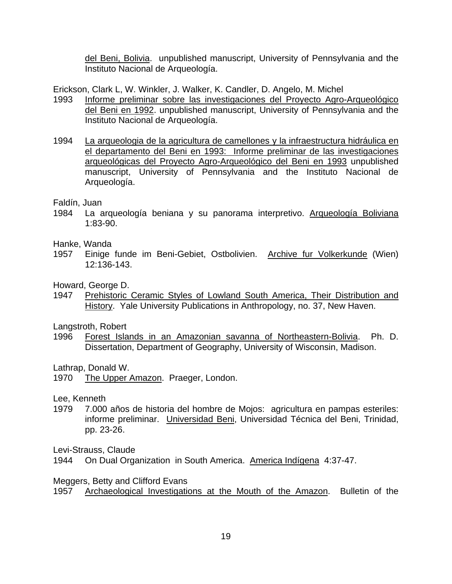del Beni, Bolivia. unpublished manuscript, University of Pennsylvania and the Instituto Nacional de Arqueología.

Erickson, Clark L, W. Winkler, J. Walker, K. Candler, D. Angelo, M. Michel

- 1993 Informe preliminar sobre las investigaciones del Proyecto Agro-Arqueológico del Beni en 1992. unpublished manuscript, University of Pennsylvania and the Instituto Nacional de Arqueología.
- 1994 La arqueologia de la agricultura de camellones y la infraestructura hidráulica en el departamento del Beni en 1993: Informe preliminar de las investigaciones arqueológicas del Proyecto Agro-Arqueológico del Beni en 1993 unpublished manuscript, University of Pennsylvania and the Instituto Nacional de Arqueología.

Faldín, Juan

1984 La arqueología beniana y su panorama interpretivo. Arqueología Boliviana 1:83-90.

Hanke, Wanda

1957 Einige funde im Beni-Gebiet, Ostbolivien. Archive fur Volkerkunde (Wien) 12:136-143.

Howard, George D.

1947 Prehistoric Ceramic Styles of Lowland South America, Their Distribution and History. Yale University Publications in Anthropology, no. 37, New Haven.

Langstroth, Robert

1996 Forest Islands in an Amazonian savanna of Northeastern-Bolivia. Ph. D. Dissertation, Department of Geography, University of Wisconsin, Madison.

Lathrap, Donald W.

1970 The Upper Amazon. Praeger, London.

Lee, Kenneth

1979 7.000 años de historia del hombre de Mojos: agricultura en pampas esteriles: informe preliminar. Universidad Beni, Universidad Técnica del Beni, Trinidad, pp. 23-26.

Levi-Strauss, Claude

1944 On Dual Organization in South America. America Indígena 4:37-47.

Meggers, Betty and Clifford Evans

1957 Archaeological Investigations at the Mouth of the Amazon. Bulletin of the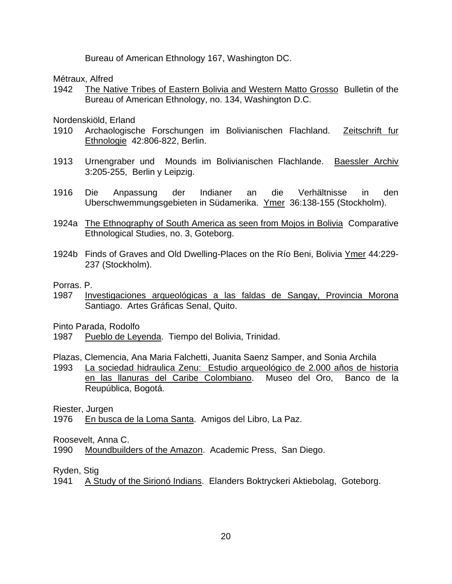Bureau of American Ethnology 167, Washington DC.

Métraux, Alfred

1942 The Native Tribes of Eastern Bolivia and Western Matto Grosso Bulletin of the Bureau of American Ethnology, no. 134, Washington D.C.

Nordenskiöld, Erland

- 1910 Archaologische Forschungen im Bolivianischen Flachland. Zeitschrift fur Ethnologie 42:806-822, Berlin.
- 1913 Urnengraber und Mounds im Bolivianischen Flachlande. Baessler Archiv 3:205-255, Berlin y Leipzig.
- 1916 Die Anpassung der Indianer an die Verhältnisse in den Uberschwemmungsgebieten in Südamerika. Ymer 36:138-155 (Stockholm).
- 1924a The Ethnography of South America as seen from Mojos in Bolivia Comparative Ethnological Studies, no. 3, Goteborg.
- 1924b Finds of Graves and Old Dwelling-Places on the Río Beni, Bolivia Ymer 44:229- 237 (Stockholm).

Porras. P.

1987 Investigaciones arqueológicas a las faldas de Sangay, Provincia Morona Santiago. Artes Gráficas Senal, Quito.

Pinto Parada, Rodolfo

1987 Pueblo de Leyenda. Tiempo del Bolivia, Trinidad.

Plazas, Clemencia, Ana Maria Falchetti, Juanita Saenz Samper, and Sonia Archila

1993 La sociedad hidraulica Zenu: Estudio arqueológico de 2.000 años de historia en las llanuras del Caribe Colombiano. Museo del Oro, Banco de la Reupública, Bogotá.

Riester, Jurgen

1976 En busca de la Loma Santa. Amigos del Libro, La Paz.

Roosevelt, Anna C.

1990 Moundbuilders of the Amazon. Academic Press, San Diego.

Ryden, Stig

<sup>1941</sup> A Study of the Sirionó Indians. Elanders Boktryckeri Aktiebolag, Goteborg.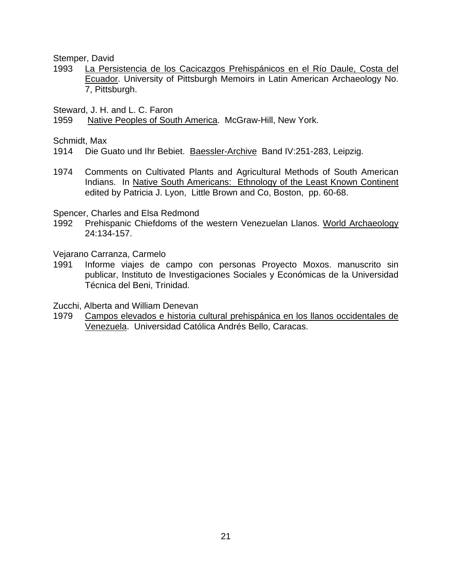Stemper, David

1993 La Persistencia de los Cacicazgos Prehispánicos en el Río Daule, Costa del Ecuador. University of Pittsburgh Memoirs in Latin American Archaeology No. 7, Pittsburgh.

Steward, J. H. and L. C. Faron

1959 Native Peoples of South America. McGraw-Hill, New York.

Schmidt, Max

1914 Die Guato und Ihr Bebiet. Baessler-Archive Band IV:251-283, Leipzig.

1974 Comments on Cultivated Plants and Agricultural Methods of South American Indians. In Native South Americans: Ethnology of the Least Known Continent edited by Patricia J. Lyon, Little Brown and Co, Boston, pp. 60-68.

Spencer, Charles and Elsa Redmond

1992 Prehispanic Chiefdoms of the western Venezuelan Llanos. World Archaeology 24:134-157.

Vejarano Carranza, Carmelo

1991 Informe viajes de campo con personas Proyecto Moxos. manuscrito sin publicar, Instituto de Investigaciones Sociales y Económicas de la Universidad Técnica del Beni, Trinidad.

Zucchi, Alberta and William Denevan

1979 Campos elevados e historia cultural prehispánica en los llanos occidentales de Venezuela. Universidad Católica Andrés Bello, Caracas.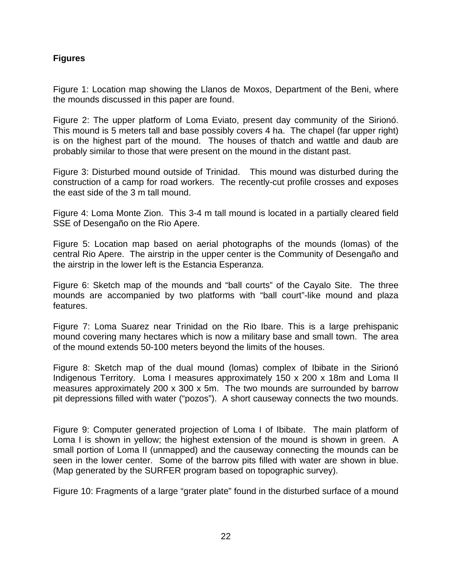# **Figures**

Figure 1: Location map showing the Llanos de Moxos, Department of the Beni, where the mounds discussed in this paper are found.

Figure 2: The upper platform of Loma Eviato, present day community of the Sirionó. This mound is 5 meters tall and base possibly covers 4 ha. The chapel (far upper right) is on the highest part of the mound. The houses of thatch and wattle and daub are probably similar to those that were present on the mound in the distant past.

Figure 3: Disturbed mound outside of Trinidad. This mound was disturbed during the construction of a camp for road workers. The recently-cut profile crosses and exposes the east side of the 3 m tall mound.

Figure 4: Loma Monte Zion. This 3-4 m tall mound is located in a partially cleared field SSE of Desengaño on the Rio Apere.

Figure 5: Location map based on aerial photographs of the mounds (lomas) of the central Rio Apere. The airstrip in the upper center is the Community of Desengaño and the airstrip in the lower left is the Estancia Esperanza.

Figure 6: Sketch map of the mounds and "ball courts" of the Cayalo Site. The three mounds are accompanied by two platforms with "ball court"-like mound and plaza features.

Figure 7: Loma Suarez near Trinidad on the Rio Ibare. This is a large prehispanic mound covering many hectares which is now a military base and small town. The area of the mound extends 50-100 meters beyond the limits of the houses.

Figure 8: Sketch map of the dual mound (lomas) complex of Ibibate in the Sirionó Indigenous Territory. Loma I measures approximately 150 x 200 x 18m and Loma II measures approximately 200 x 300 x 5m. The two mounds are surrounded by barrow pit depressions filled with water ("pozos"). A short causeway connects the two mounds.

Figure 9: Computer generated projection of Loma I of Ibibate. The main platform of Loma I is shown in yellow; the highest extension of the mound is shown in green. A small portion of Loma II (unmapped) and the causeway connecting the mounds can be seen in the lower center. Some of the barrow pits filled with water are shown in blue. (Map generated by the SURFER program based on topographic survey).

Figure 10: Fragments of a large "grater plate" found in the disturbed surface of a mound